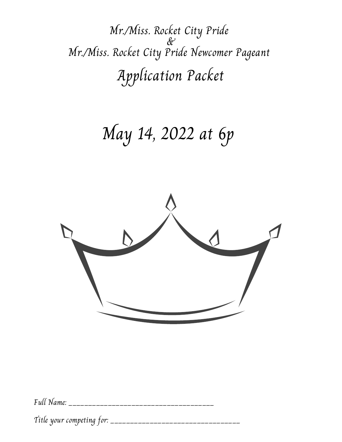Mr./Miss. Rocket City Pride & Mr./Miss. Rocket City Pride Newcomer Pageant Application Packet

## May 14, 2022 at 6p



Full Name: \_\_\_\_\_\_\_\_\_\_\_\_\_\_\_\_\_\_\_\_\_\_\_\_\_\_\_\_\_\_\_\_\_\_\_\_\_

Title your competing for: \_\_\_\_\_\_\_\_\_\_\_\_\_\_\_\_\_\_\_\_\_\_\_\_\_\_\_\_\_\_\_\_\_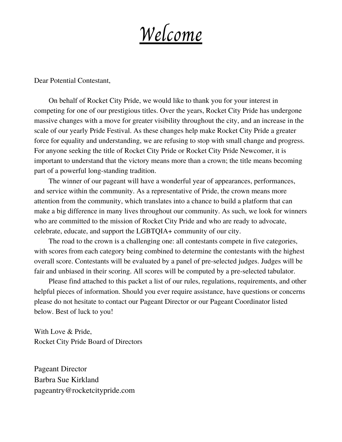Welcome

Dear Potential Contestant,

On behalf of Rocket City Pride, we would like to thank you for your interest in competing for one of our prestigious titles. Over the years, Rocket City Pride has undergone massive changes with a move for greater visibility throughout the city, and an increase in the scale of our yearly Pride Festival. As these changes help make Rocket City Pride a greater force for equality and understanding, we are refusing to stop with small change and progress. For anyone seeking the title of Rocket City Pride or Rocket City Pride Newcomer, it is important to understand that the victory means more than a crown; the title means becoming part of a powerful long-standing tradition.

The winner of our pageant will have a wonderful year of appearances, performances, and service within the community. As a representative of Pride, the crown means more attention from the community, which translates into a chance to build a platform that can make a big difference in many lives throughout our community. As such, we look for winners who are committed to the mission of Rocket City Pride and who are ready to advocate, celebrate, educate, and support the LGBTQIA+ community of our city.

The road to the crown is a challenging one: all contestants compete in five categories, with scores from each category being combined to determine the contestants with the highest overall score. Contestants will be evaluated by a panel of pre-selected judges. Judges will be fair and unbiased in their scoring. All scores will be computed by a pre-selected tabulator.

Please find attached to this packet a list of our rules, regulations, requirements, and other helpful pieces of information. Should you ever require assistance, have questions or concerns please do not hesitate to contact our Pageant Director or our Pageant Coordinator listed below. Best of luck to you!

With Love & Pride, Rocket City Pride Board of Directors

Pageant Director Barbra Sue Kirkland pageantry@rocketcitypride.com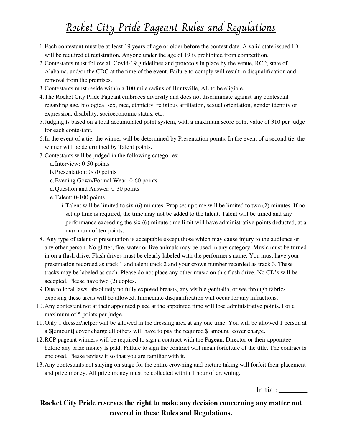### Rocket City Pride Pageant Rules and Regulations

- Each contestant must be at least 19 years of age or older before the contest date. A valid state issued ID 1. will be required at registration. Anyone under the age of 19 is prohibited from competition.
- Contestants must follow all Covid-19 guidelines and protocols in place by the venue, RCP, state of 2. Alabama, and/or the CDC at the time of the event. Failure to comply will result in disqualification and removal from the premises.
- Contestants must reside within a 100 mile radius of Huntsville, AL to be eligible. 3.
- The Rocket City Pride Pageant embraces diversity and does not discriminate against any contestant 4. regarding age, biological sex, race, ethnicity, religious affiliation, sexual orientation, gender identity or expression, disability, socioeconomic status, etc.
- Judging is based on a total accumulated point system, with a maximum score point value of 310 per judge 5. for each contestant.
- 6. In the event of a tie, the winner will be determined by Presentation points. In the event of a second tie, the winner will be determined by Talent points.
- Contestants will be judged in the following categories: 7.
	- a. Interview: 0-50 points
	- b. Presentation: 0-70 points
	- Evening Gown/Formal Wear: 0-60 points c.
	- Question and Answer: 0-30 points d.
	- Talent: 0-100 points e.
		- Talent will be limited to six (6) minutes. Prop set up time will be limited to two (2) minutes. If no i. set up time is required, the time may not be added to the talent. Talent will be timed and any performance exceeding the six (6) minute time limit will have administrative points deducted, at a maximum of ten points.
- Any type of talent or presentation is acceptable except those which may cause injury to the audience or 8. any other person. No glitter, fire, water or live animals may be used in any category. Music must be turned in on a flash drive. Flash drives must be clearly labeled with the performer's name. You must have your presentation recorded as track 1 and talent track 2 and your crown number recorded as track 3. These tracks may be labeled as such. Please do not place any other music on this flash drive. No CD's will be accepted. Please have two (2) copies.
- Due to local laws, absolutely no fully exposed breasts, any visible genitalia, or see through fabrics 9. exposing these areas will be allowed. Immediate disqualification will occur for any infractions.
- 10. Any contestant not at their appointed place at the appointed time will lose administrative points. For a maximum of 5 points per judge.
- 11. Only 1 dresser/helper will be allowed in the dressing area at any one time. You will be allowed 1 person at a \$[amount] cover charge all others will have to pay the required \$[amount] cover charge.
- 12. RCP pageant winners will be required to sign a contract with the Pageant Director or their appointee before any prize money is paid. Failure to sign the contract will mean forfeiture of the title. The contract is enclosed. Please review it so that you are familiar with it.
- 13. Any contestants not staying on stage for the entire crowning and picture taking will forfeit their placement and prize money. All prize money must be collected within 1 hour of crowning.

Initial:

#### **Rocket City Pride reserves the right to make any decision concerning any matter not covered in these Rules and Regulations.**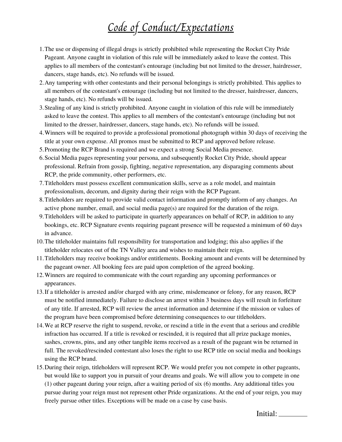### Code of Conduct/Expectations

- The use or dispensing of illegal drugs is strictly prohibited while representing the Rocket City Pride 1. Pageant. Anyone caught in violation of this rule will be immediately asked to leave the contest. This applies to all members of the contestant's entourage (including but not limited to the dresser, hairdresser, dancers, stage hands, etc). No refunds will be issued.
- Any tampering with other contestants and their personal belongings is strictly prohibited. This applies to 2. all members of the contestant's entourage (including but not limited to the dresser, hairdresser, dancers, stage hands, etc). No refunds will be issued.
- Stealing of any kind is strictly prohibited. Anyone caught in violation of this rule will be immediately 3. asked to leave the contest. This applies to all members of the contestant's entourage (including but not limited to the dresser, hairdresser, dancers, stage hands, etc). No refunds will be issued.
- Winners will be required to provide a professional promotional photograph within 30 days of receiving the 4. title at your own expense. All promos must be submitted to RCP and approved before release.
- 5. Promoting the RCP Brand is required and we expect a strong Social Media presence.
- Social Media pages representing your persona, and subsequently Rocket City Pride, should appear 6. professional. Refrain from gossip, fighting, negative representation, any disparaging comments about RCP, the pride community, other performers, etc.
- Titleholders must possess excellent communication skills, serve as a role model, and maintain 7. professionalism, decorum, and dignity during their reign with the RCP Pageant.
- Titleholders are required to provide valid contact information and promptly inform of any changes. An 8. active phone number, email, and social media page(s) are required for the duration of the reign.
- Titleholders will be asked to participate in quarterly appearances on behalf of RCP, in addition to any 9. bookings, etc. RCP Signature events requiring pageant presence will be requested a minimum of 60 days in advance.
- 10. The titleholder maintains full responsibility for transportation and lodging; this also applies if the titleholder relocates out of the TN Valley area and wishes to maintain their reign.
- 11. Titleholders may receive bookings and/or entitlements. Booking amount and events will be determined by the pageant owner. All booking fees are paid upon completion of the agreed booking.
- Winners are required to communicate with the court regarding any upcoming performances or 12. appearances.
- 13. If a titleholder is arrested and/or charged with any crime, misdemeanor or felony, for any reason, RCP must be notified immediately. Failure to disclose an arrest within 3 business days will result in forfeiture of any title. If arrested, RCP will review the arrest information and determine if the mission or values of the program have been compromised before determining consequences to our titleholders.
- We at RCP reserve the right to suspend, revoke, or rescind a title in the event that a serious and credible 14. infraction has occurred. If a title is revoked or rescinded, it is required that all prize package monies, sashes, crowns, pins, and any other tangible items received as a result of the pageant win be returned in full. The revoked/rescinded contestant also loses the right to use RCP title on social media and bookings using the RCP brand.
- 15. During their reign, titleholders will represent RCP. We would prefer you not compete in other pageants, but would like to support you in pursuit of your dreams and goals. We will allow you to compete in one (1) other pageant during your reign, after a waiting period of six (6) months. Any additional titles you pursue during your reign must not represent other Pride organizations. At the end of your reign, you may freely pursue other titles. Exceptions will be made on a case by case basis.

Initial: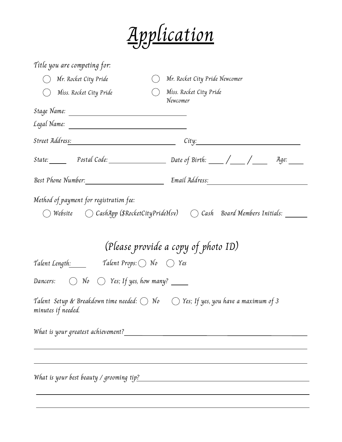

| Title you are competing for:                                                                                                                                         |                                     |       |  |
|----------------------------------------------------------------------------------------------------------------------------------------------------------------------|-------------------------------------|-------|--|
| Mr. Rocket City Pride                                                                                                                                                | Mr. Rocket City Pride Newcomer      |       |  |
| Miss. Rocket City Pride                                                                                                                                              | Miss. Rocket City Pride<br>Newcomer |       |  |
|                                                                                                                                                                      |                                     |       |  |
|                                                                                                                                                                      |                                     |       |  |
| Street Addres <u>s: New York Street Address: New York Street Address:</u>                                                                                            |                                     | City: |  |
|                                                                                                                                                                      |                                     |       |  |
| Best Phone Number:__________________________                                                                                                                         |                                     |       |  |
| $\bigcirc$ Website $\hspace{1.5cm} \bigcirc$ CashApp (\$RocketCityPrideHsv) $\hspace{1.5cm} \bigcirc$ Cash $\hspace{1.5cm}$ Board Members Initials: $\hspace{1.5cm}$ | (Please provide a copy of photo ID) |       |  |
| Talent Length: Talent Props: $\bigcirc$ No $\bigcirc$ Yes                                                                                                            |                                     |       |  |
| Dancers: $\bigcirc$ No $\bigcirc$ Yes; If yes, how many? _____                                                                                                       |                                     |       |  |
| Talent  Setup & Breakdown time needed: $\bigcirc$ No $\hspace{10pt}$ $\bigcirc$ Yes; If yes, you have a maximum of 3<br>minutes if needed.                           |                                     |       |  |
|                                                                                                                                                                      |                                     |       |  |
|                                                                                                                                                                      |                                     |       |  |
|                                                                                                                                                                      |                                     |       |  |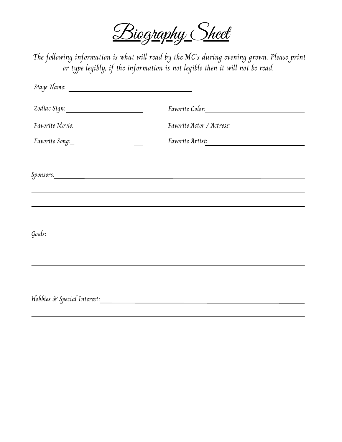Biography Sheet

The following information is what will read by the MC's during evening grown. Please print or type legibly, if the information is not legible then it will not be read.

| Zodiac Sign: ______________________                                                                                                                                                                                            |                                                                                  |  |
|--------------------------------------------------------------------------------------------------------------------------------------------------------------------------------------------------------------------------------|----------------------------------------------------------------------------------|--|
| Favorite Movie:                                                                                                                                                                                                                | Favorite Actor / Actress:                                                        |  |
|                                                                                                                                                                                                                                | <i>Favorite Artist:</i>                                                          |  |
|                                                                                                                                                                                                                                |                                                                                  |  |
| Sponsors: Sponsors: Sponsors: Sponsors: Sponsors: Sponsors: Sponsors: Sponsors: Sponsors: Sponsors: Sponsors: Sponsors: Sponsors: Sponsors: Sponsors: Sponsors: Sponsors: Sponsors: Sponsors: Sponsors: Sponsors: Sponsors: Sp |                                                                                  |  |
|                                                                                                                                                                                                                                |                                                                                  |  |
|                                                                                                                                                                                                                                |                                                                                  |  |
|                                                                                                                                                                                                                                |                                                                                  |  |
| Goals: Communication of the Communication of the Communication of the Communication of the Communication of the Communication of the Communication of the Communication of the Communication of the Communication of the Commu |                                                                                  |  |
|                                                                                                                                                                                                                                | ,我们也不会有什么。""我们的人,我们也不会有什么?""我们的人,我们也不会有什么?""我们的人,我们也不会有什么?""我们的人,我们也不会有什么?""我们的人 |  |
|                                                                                                                                                                                                                                |                                                                                  |  |
|                                                                                                                                                                                                                                |                                                                                  |  |
|                                                                                                                                                                                                                                |                                                                                  |  |
|                                                                                                                                                                                                                                |                                                                                  |  |
|                                                                                                                                                                                                                                |                                                                                  |  |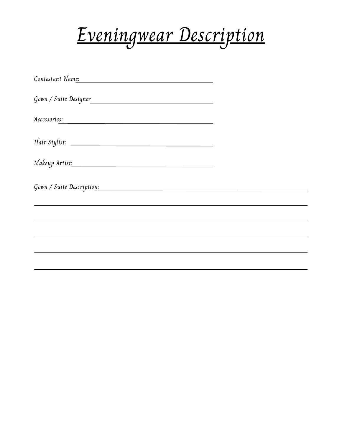

| Contestant Name:<br>the control of the control of the control of the control of the control of the control of |  |
|---------------------------------------------------------------------------------------------------------------|--|
| Gown / Suite Designer                                                                                         |  |
| Accessories:                                                                                                  |  |
|                                                                                                               |  |
| Makeup Artist <u>:</u>                                                                                        |  |
| Gown / Suite Description:                                                                                     |  |
|                                                                                                               |  |
|                                                                                                               |  |
|                                                                                                               |  |
|                                                                                                               |  |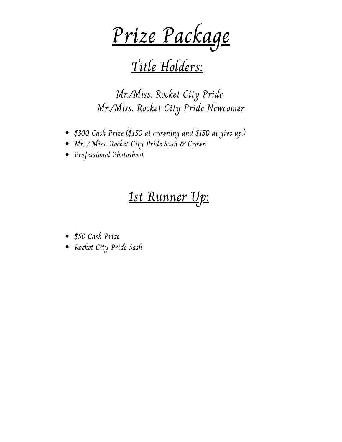Prize Package

## Title Holders:

Mr./Miss. Rocket City Pride Mr./Miss. Rocket City Pride Newcomer

- \$300 Cash Prize (\$150 at crowning and \$150 at give up.)
- Mr. / Miss. Rocket City Pride Sash & Crown
- Professional Photoshoot

### 1st Runner Up:

- \$50 Cash Prize
- Rocket City Pride Sash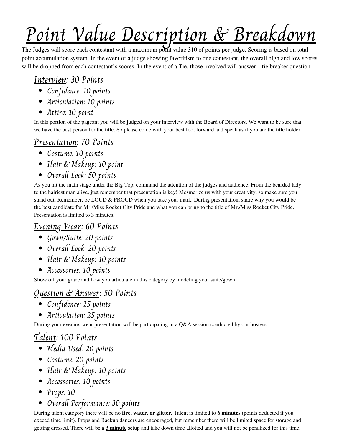# Point Value Description & Breakdown

The Judges will score each contestant with a maximum point value 310 of points per judge. Scoring is based on total point accumulation system. In the event of a judge showing favoritism to one contestant, the overall high and low scores will be dropped from each contestant's scores. In the event of a Tie, those involved will answer 1 tie breaker question.

#### Interview: 30 Points

- Confidence: 10 points
- Articulation: 10 points
- Attire: 10 point

In this portion of the pageant you will be judged on your interview with the Board of Directors. We want to be sure that we have the best person for the title. So please come with your best foot forward and speak as if you are the title holder.

#### Presentation: 70 Points

- Costume: 10 points
- Hair & Makeup: 10 point
- Overall Look: 50 points

As you hit the main stage under the Big Top, command the attention of the judges and audience. From the bearded lady to the hairiest man alive, just remember that presentation is key! Mesmerize us with your creativity, so make sure you stand out. Remember, be LOUD & PROUD when you take your mark. During presentation, share why you would be the best candidate for Mr./Miss Rocket City Pride and what you can bring to the title of Mr./Miss Rocket City Pride. Presentation is limited to 3 minutes.

#### Evening Wear: 60 Points

- Gown/Suite: 20 points
- Overall Look: 20 points
- Hair & Makeup: 10 points
- Accessories: 10 points

Show off your grace and how you articulate in this category by modeling your suite/gown.

#### Question & Answer: 50 Points

- Confidence: 25 points
- Articulation: 25 points

During your evening wear presentation will be participating in a Q&A session conducted by our hostess

#### Talent: 100 Points

- Media Used: 20 points
- Costume: 20 points
- Hair & Makeup: 10 points
- Accessories: 10 points
- Props: 10
- Overall Performance: 30 points

During talent category there will be no **fire, water, or glitter**. Talent is limited to **6 minutes** (points deducted if you exceed time limit). Props and Backup dancers are encouraged, but remember there will be limited space for storage and getting dressed. There will be a **3 minute** setup and take down time allotted and you will not be penalized for this time.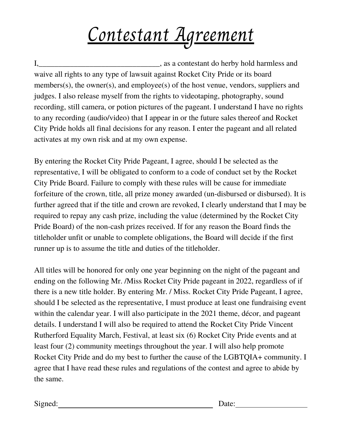# Contestant Agreement

I, say a contestant do herby hold harmless and waive all rights to any type of lawsuit against Rocket City Pride or its board members(s), the owner(s), and employee(s) of the host venue, vendors, suppliers and judges. I also release myself from the rights to videotaping, photography, sound recording, still camera, or potion pictures of the pageant. I understand I have no rights to any recording (audio/video) that I appear in or the future sales thereof and Rocket City Pride holds all final decisions for any reason. I enter the pageant and all related activates at my own risk and at my own expense.

By entering the Rocket City Pride Pageant, I agree, should I be selected as the representative, I will be obligated to conform to a code of conduct set by the Rocket City Pride Board. Failure to comply with these rules will be cause for immediate forfeiture of the crown, title, all prize money awarded (un-disbursed or disbursed). It is further agreed that if the title and crown are revoked, I clearly understand that I may be required to repay any cash prize, including the value (determined by the Rocket City Pride Board) of the non-cash prizes received. If for any reason the Board finds the titleholder unfit or unable to complete obligations, the Board will decide if the first runner up is to assume the title and duties of the titleholder.

All titles will be honored for only one year beginning on the night of the pageant and ending on the following Mr. /Miss Rocket City Pride pageant in 2022, regardless of if there is a new title holder. By entering Mr. / Miss. Rocket City Pride Pageant, I agree, should I be selected as the representative, I must produce at least one fundraising event within the calendar year. I will also participate in the 2021 theme, décor, and pageant details. I understand I will also be required to attend the Rocket City Pride Vincent Rutherford Equality March, Festival, at least six (6) Rocket City Pride events and at least four (2) community meetings throughout the year. I will also help promote Rocket City Pride and do my best to further the cause of the LGBTQIA+ community. I agree that I have read these rules and regulations of the contest and agree to abide by the same.

Signed: Date: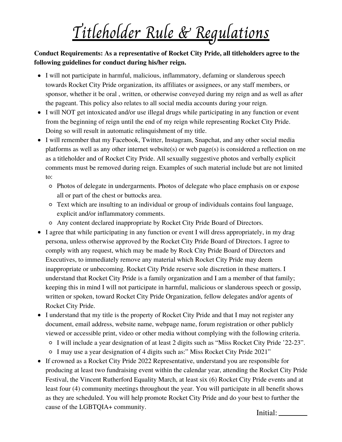## Titleholder Rule & Regulations

**Conduct Requirements: As a representative of Rocket City Pride, all titleholders agree to the following guidelines for conduct during his/her reign.**

- I will not participate in harmful, malicious, inflammatory, defaming or slanderous speech towards Rocket City Pride organization, its affiliates or assignees, or any staff members, or sponsor, whether it be oral , written, or otherwise conveyed during my reign and as well as after the pageant. This policy also relates to all social media accounts during your reign.
- I will NOT get intoxicated and/or use illegal drugs while participating in any function or event from the beginning of reign until the end of my reign while representing Rocket City Pride. Doing so will result in automatic relinquishment of my title.
- I will remember that my Facebook, Twitter, Instagram, Snapchat, and any other social media platforms as well as any other internet website(s) or web page(s) is considered a reflection on me as a titleholder and of Rocket City Pride. All sexually suggestive photos and verbally explicit comments must be removed during reign. Examples of such material include but are not limited to:
	- Photos of delegate in undergarments. Photos of delegate who place emphasis on or expose all or part of the chest or buttocks area.
	- Text which are insulting to an individual or group of individuals contains foul language, explicit and/or inflammatory comments.
	- Any content declared inappropriate by Rocket City Pride Board of Directors.
- I agree that while participating in any function or event I will dress appropriately, in my drag persona, unless otherwise approved by the Rocket City Pride Board of Directors. I agree to comply with any request, which may be made by Rock City Pride Board of Directors and Executives, to immediately remove any material which Rocket City Pride may deem inappropriate or unbecoming. Rocket City Pride reserve sole discretion in these matters. I understand that Rocket City Pride is a family organization and I am a member of that family; keeping this in mind I will not participate in harmful, malicious or slanderous speech or gossip, written or spoken, toward Rocket City Pride Organization, fellow delegates and/or agents of Rocket City Pride.
- I understand that my title is the property of Rocket City Pride and that I may not register any document, email address, website name, webpage name, forum registration or other publicly viewed or accessible print, video or other media without complying with the following criteria.
	- I will include a year designation of at least 2 digits such as "Miss Rocket City Pride '22-23".
	- I may use a year designation of 4 digits such as:" Miss Rocket City Pride 2021"
- If crowned as a Rocket City Pride 2022 Representative, understand you are responsible for producing at least two fundraising event within the calendar year, attending the Rocket City Pride Festival, the Vincent Rutherford Equality March, at least six (6) Rocket City Pride events and at least four (4) community meetings throughout the year. You will participate in all benefit shows as they are scheduled. You will help promote Rocket City Pride and do your best to further the cause of the LGBTQIA+ community. Initial: